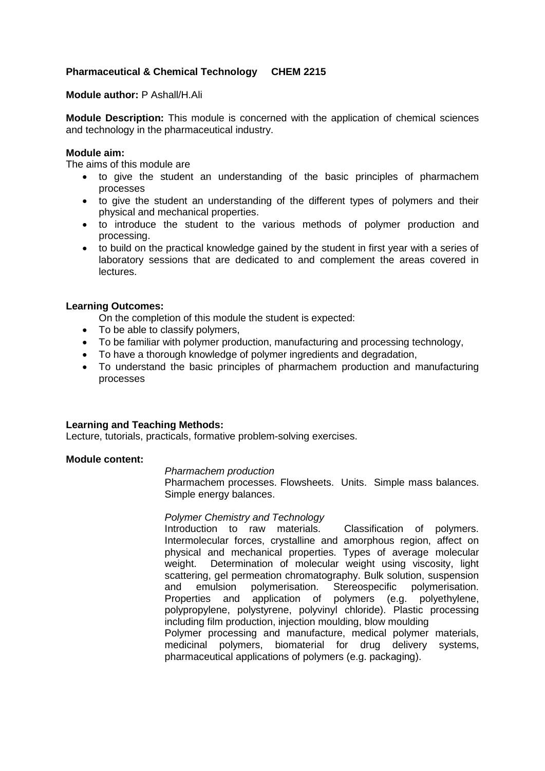# **Pharmaceutical & Chemical Technology CHEM 2215**

### **Module author:** P Ashall/H.Ali

**Module Description:** This module is concerned with the application of chemical sciences and technology in the pharmaceutical industry.

## **Module aim:**

The aims of this module are

- to give the student an understanding of the basic principles of pharmachem processes
- to give the student an understanding of the different types of polymers and their physical and mechanical properties.
- to introduce the student to the various methods of polymer production and processing.
- to build on the practical knowledge gained by the student in first year with a series of laboratory sessions that are dedicated to and complement the areas covered in lectures.

## **Learning Outcomes:**

On the completion of this module the student is expected:

- To be able to classify polymers,
- To be familiar with polymer production, manufacturing and processing technology,
- To have a thorough knowledge of polymer ingredients and degradation,
- To understand the basic principles of pharmachem production and manufacturing processes

#### **Learning and Teaching Methods:**

Lecture, tutorials, practicals, formative problem-solving exercises.

#### **Module content:**

#### *Pharmachem production*

Pharmachem processes. Flowsheets. Units. Simple mass balances. Simple energy balances.

#### *Polymer Chemistry and Technology*

Introduction to raw materials. Classification of polymers. Intermolecular forces, crystalline and amorphous region, affect on physical and mechanical properties. Types of average molecular weight. Determination of molecular weight using viscosity, light scattering, gel permeation chromatography. Bulk solution, suspension and emulsion polymerisation. Stereospecific polymerisation. Properties and application of polymers (e.g. polyethylene, polypropylene, polystyrene, polyvinyl chloride). Plastic processing including film production, injection moulding, blow moulding Polymer processing and manufacture, medical polymer materials, medicinal polymers, biomaterial for drug delivery systems, pharmaceutical applications of polymers (e.g. packaging).